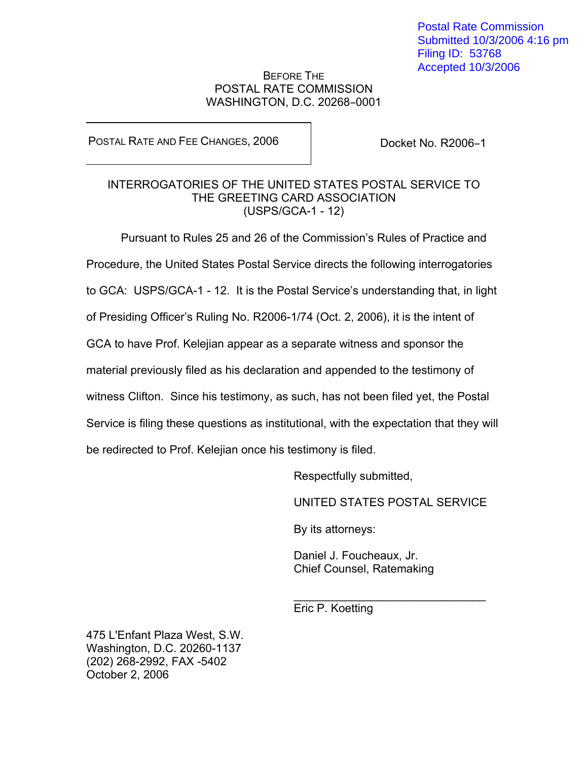Postal Rate Commission Submitted 10/3/2006 4:16 pm Filing ID: 53768 Accepted 10/3/2006

## BEFORE THE POSTAL RATE COMMISSION WASHINGTON, D.C. 20268-0001

POSTAL RATE AND FEE CHANGES, 2006

Docket No. R2006-1

## INTERROGATORIES OF THE UNITED STATES POSTAL SERVICE TO THE GREETING CARD ASSOCIATION (USPS/GCA-1 - 12)

Pursuant to Rules 25 and 26 of the Commission's Rules of Practice and Procedure, the United States Postal Service directs the following interrogatories to GCA: USPS/GCA-1 - 12. It is the Postal Service's understanding that, in light of Presiding Officer's Ruling No. R2006-1/74 (Oct. 2, 2006), it is the intent of GCA to have Prof. Kelejian appear as a separate witness and sponsor the material previously filed as his declaration and appended to the testimony of witness Clifton. Since his testimony, as such, has not been filed yet, the Postal Service is filing these questions as institutional, with the expectation that they will be redirected to Prof. Kelejian once his testimony is filed.

Respectfully submitted,

UNITED STATES POSTAL SERVICE

By its attorneys:

Daniel J. Foucheaux, Jr. Chief Counsel, Ratemaking

Eric P. Koetting

 $\frac{1}{\sqrt{2}}$  ,  $\frac{1}{\sqrt{2}}$  ,  $\frac{1}{\sqrt{2}}$  ,  $\frac{1}{\sqrt{2}}$  ,  $\frac{1}{\sqrt{2}}$  ,  $\frac{1}{\sqrt{2}}$  ,  $\frac{1}{\sqrt{2}}$  ,  $\frac{1}{\sqrt{2}}$  ,  $\frac{1}{\sqrt{2}}$  ,  $\frac{1}{\sqrt{2}}$  ,  $\frac{1}{\sqrt{2}}$  ,  $\frac{1}{\sqrt{2}}$  ,  $\frac{1}{\sqrt{2}}$  ,  $\frac{1}{\sqrt{2}}$  ,  $\frac{1}{\sqrt{2}}$ 

475 L'Enfant Plaza West, S.W. Washington, D.C. 20260-1137 (202) 268-2992, FAX -5402 October 2, 2006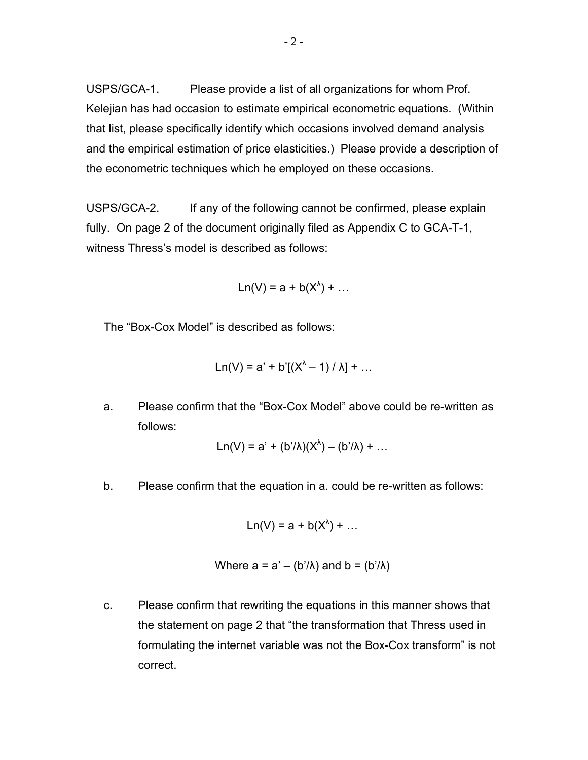USPS/GCA-1. Please provide a list of all organizations for whom Prof. Kelejian has had occasion to estimate empirical econometric equations. (Within that list, please specifically identify which occasions involved demand analysis and the empirical estimation of price elasticities.) Please provide a description of the econometric techniques which he employed on these occasions.

USPS/GCA-2. If any of the following cannot be confirmed, please explain fully. On page 2 of the document originally filed as Appendix C to GCA-T-1, witness Thress's model is described as follows:

 $Ln(V) = a + b(X^{\lambda}) + ...$ 

The "Box-Cox Model" is described as follows:

$$
Ln(V) = a' + b'[ (X^{\lambda} - 1) / \lambda] + ...
$$

a. Please confirm that the "Box-Cox Model" above could be re-written as follows:

$$
Ln(V) = a' + (b'/\lambda)(X^{\lambda}) - (b'/\lambda) + ...
$$

b. Please confirm that the equation in a. could be re-written as follows:

$$
Ln(V) = a + b(X^{\lambda}) + ...
$$

Where 
$$
a = a' - (b'/\lambda)
$$
 and  $b = (b'/\lambda)$ 

c. Please confirm that rewriting the equations in this manner shows that the statement on page 2 that "the transformation that Thress used in formulating the internet variable was not the Box-Cox transform" is not correct.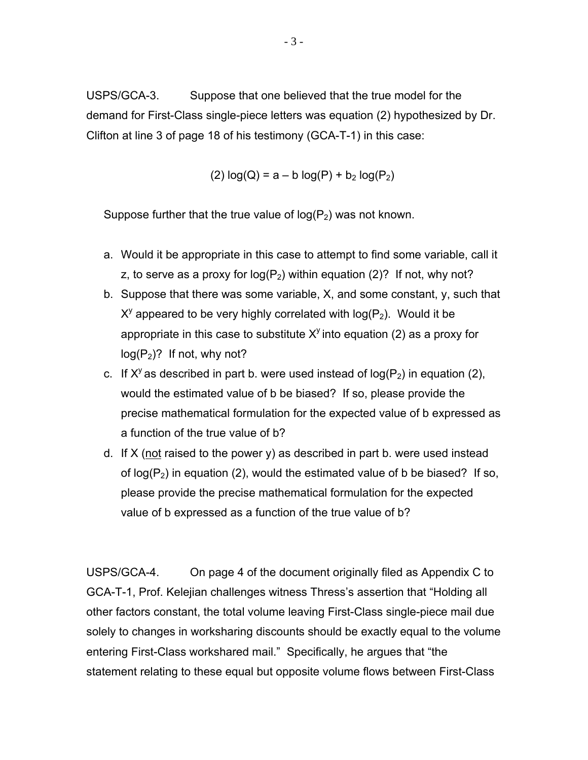USPS/GCA-3. Suppose that one believed that the true model for the demand for First-Class single-piece letters was equation (2) hypothesized by Dr. Clifton at line 3 of page 18 of his testimony (GCA-T-1) in this case:

(2)  $log(Q) = a - b log(P) + b_2 log(P_2)$ 

Suppose further that the true value of  $log(P_2)$  was not known.

- a. Would it be appropriate in this case to attempt to find some variable, call it z, to serve as a proxy for  $log(P_2)$  within equation (2)? If not, why not?
- b. Suppose that there was some variable, X, and some constant, y, such that  $X<sup>y</sup>$  appeared to be very highly correlated with log( $P<sub>2</sub>$ ). Would it be appropriate in this case to substitute  $X<sup>y</sup>$  into equation (2) as a proxy for  $log(P_2)$ ? If not, why not?
- c. If  $X^y$  as described in part b. were used instead of log( $P_2$ ) in equation (2), would the estimated value of b be biased? If so, please provide the precise mathematical formulation for the expected value of b expressed as a function of the true value of b?
- d. If  $X$  (not raised to the power y) as described in part b. were used instead of  $log(P_2)$  in equation (2), would the estimated value of b be biased? If so, please provide the precise mathematical formulation for the expected value of b expressed as a function of the true value of b?

USPS/GCA-4. On page 4 of the document originally filed as Appendix C to GCA-T-1, Prof. Kelejian challenges witness Thress's assertion that "Holding all other factors constant, the total volume leaving First-Class single-piece mail due solely to changes in worksharing discounts should be exactly equal to the volume entering First-Class workshared mail." Specifically, he argues that "the statement relating to these equal but opposite volume flows between First-Class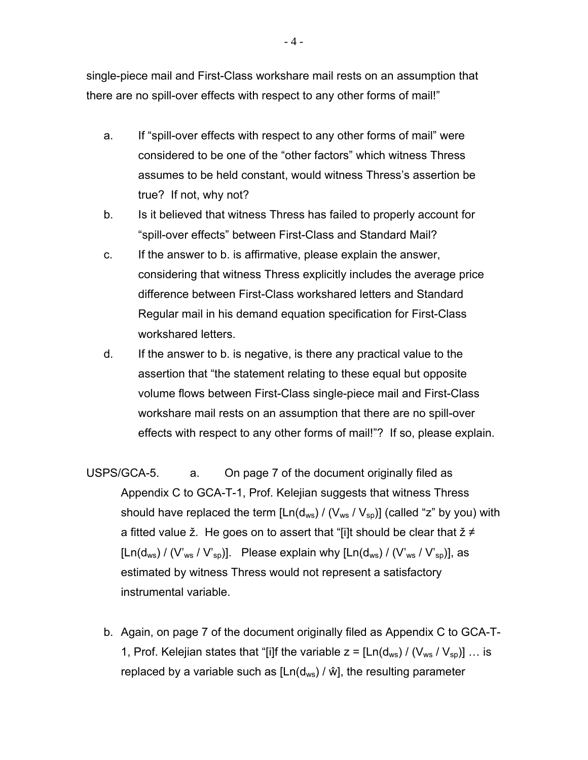single-piece mail and First-Class workshare mail rests on an assumption that there are no spill-over effects with respect to any other forms of mail!"

- a. If "spill-over effects with respect to any other forms of mail" were considered to be one of the "other factors" which witness Thress assumes to be held constant, would witness Thress's assertion be true? If not, why not?
- b. Is it believed that witness Thress has failed to properly account for "spill-over effects" between First-Class and Standard Mail?
- c. If the answer to b. is affirmative, please explain the answer, considering that witness Thress explicitly includes the average price difference between First-Class workshared letters and Standard Regular mail in his demand equation specification for First-Class workshared letters.
- d. If the answer to b. is negative, is there any practical value to the assertion that "the statement relating to these equal but opposite volume flows between First-Class single-piece mail and First-Class workshare mail rests on an assumption that there are no spill-over effects with respect to any other forms of mail!"? If so, please explain.
- USPS/GCA-5. a. On page 7 of the document originally filed as Appendix C to GCA-T-1, Prof. Kelejian suggests that witness Thress should have replaced the term  $[Ln(d_{ws}) / (V_{ws} / V_{so})]$  (called "z" by you) with a fitted value  $\zeta$ . He goes on to assert that "[i]t should be clear that  $\zeta \neq 0$  $[Ln(d_{ws}) / (V'_{ws} / V'_{sp})]$ . Please explain why  $[Ln(d_{ws}) / (V'_{ws} / V'_{sp})]$ , as estimated by witness Thress would not represent a satisfactory instrumental variable.
	- b. Again, on page 7 of the document originally filed as Appendix C to GCA-T-1, Prof. Kelejian states that "[i]f the variable  $z = [Ln(d_{ws}) / (V_{ws} / V_{sp})] ...$  is replaced by a variable such as  $[Ln(d_{ws}) / \hat{w}]$ , the resulting parameter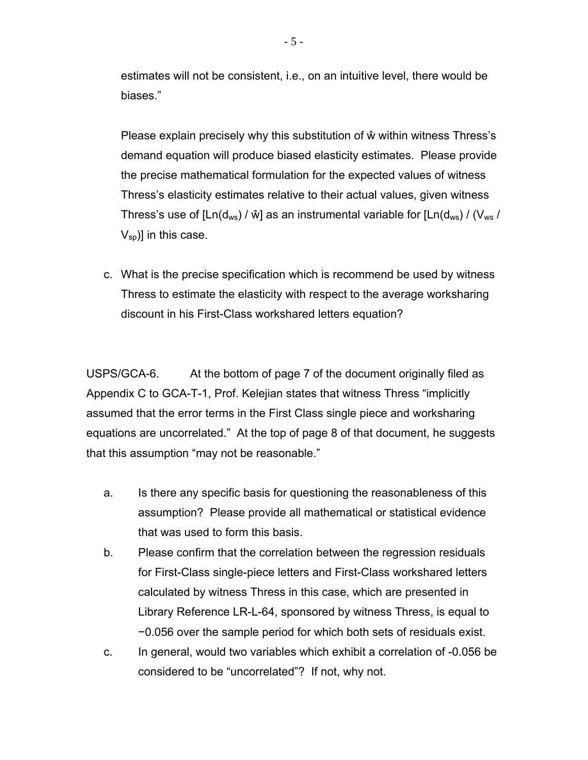estimates will not be consistent, i.e., on an intuitive level, there would be biases."

 Please explain precisely why this substitution of ŵ within witness Thress's demand equation will produce biased elasticity estimates. Please provide the precise mathematical formulation for the expected values of witness Thress's elasticity estimates relative to their actual values, given witness Thress's use of  $[Ln(d_{ws}) / \hat{w}]$  as an instrumental variable for  $[Ln(d_{ws}) / (V_{ws})]$  $V_{sp}$ ] in this case.

 c. What is the precise specification which is recommend be used by witness Thress to estimate the elasticity with respect to the average worksharing discount in his First-Class workshared letters equation?

USPS/GCA-6. At the bottom of page 7 of the document originally filed as Appendix C to GCA-T-1, Prof. Kelejian states that witness Thress "implicitly assumed that the error terms in the First Class single piece and worksharing equations are uncorrelated." At the top of page 8 of that document, he suggests that this assumption "may not be reasonable."

- a. Is there any specific basis for questioning the reasonableness of this assumption? Please provide all mathematical or statistical evidence that was used to form this basis.
- b. Please confirm that the correlation between the regression residuals for First-Class single-piece letters and First-Class workshared letters calculated by witness Thress in this case, which are presented in Library Reference LR-L-64, sponsored by witness Thress, is equal to −0.056 over the sample period for which both sets of residuals exist.
- c. In general, would two variables which exhibit a correlation of -0.056 be considered to be "uncorrelated"? If not, why not.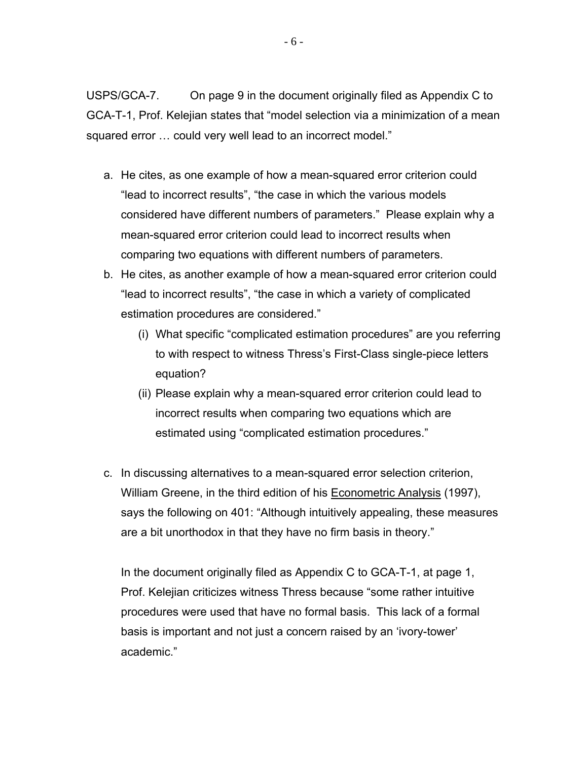USPS/GCA-7. On page 9 in the document originally filed as Appendix C to GCA-T-1, Prof. Kelejian states that "model selection via a minimization of a mean squared error … could very well lead to an incorrect model."

- a. He cites, as one example of how a mean-squared error criterion could "lead to incorrect results", "the case in which the various models considered have different numbers of parameters." Please explain why a mean-squared error criterion could lead to incorrect results when comparing two equations with different numbers of parameters.
- b. He cites, as another example of how a mean-squared error criterion could "lead to incorrect results", "the case in which a variety of complicated estimation procedures are considered."
	- (i) What specific "complicated estimation procedures" are you referring to with respect to witness Thress's First-Class single-piece letters equation?
	- (ii) Please explain why a mean-squared error criterion could lead to incorrect results when comparing two equations which are estimated using "complicated estimation procedures."
- c. In discussing alternatives to a mean-squared error selection criterion, William Greene, in the third edition of his Econometric Analysis (1997), says the following on 401: "Although intuitively appealing, these measures are a bit unorthodox in that they have no firm basis in theory."

In the document originally filed as Appendix C to GCA-T-1, at page 1, Prof. Kelejian criticizes witness Thress because "some rather intuitive procedures were used that have no formal basis. This lack of a formal basis is important and not just a concern raised by an 'ivory-tower' academic."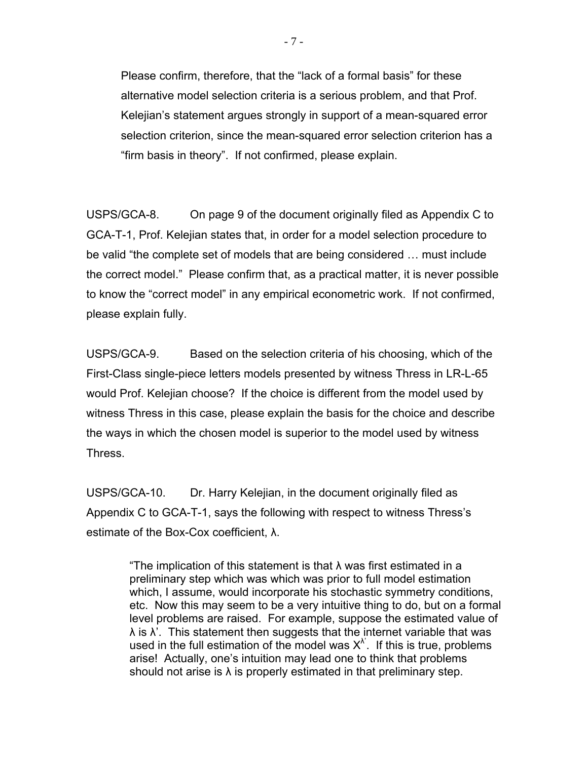Please confirm, therefore, that the "lack of a formal basis" for these alternative model selection criteria is a serious problem, and that Prof. Kelejian's statement argues strongly in support of a mean-squared error selection criterion, since the mean-squared error selection criterion has a "firm basis in theory". If not confirmed, please explain.

USPS/GCA-8. On page 9 of the document originally filed as Appendix C to GCA-T-1, Prof. Kelejian states that, in order for a model selection procedure to be valid "the complete set of models that are being considered … must include the correct model." Please confirm that, as a practical matter, it is never possible to know the "correct model" in any empirical econometric work. If not confirmed, please explain fully.

USPS/GCA-9. Based on the selection criteria of his choosing, which of the First-Class single-piece letters models presented by witness Thress in LR-L-65 would Prof. Kelejian choose? If the choice is different from the model used by witness Thress in this case, please explain the basis for the choice and describe the ways in which the chosen model is superior to the model used by witness Thress.

USPS/GCA-10. Dr. Harry Kelejian, in the document originally filed as Appendix C to GCA-T-1, says the following with respect to witness Thress's estimate of the Box-Cox coefficient, λ.

> "The implication of this statement is that  $\lambda$  was first estimated in a preliminary step which was which was prior to full model estimation which, I assume, would incorporate his stochastic symmetry conditions, etc. Now this may seem to be a very intuitive thing to do, but on a formal level problems are raised. For example, suppose the estimated value of  $\lambda$  is  $\lambda'$ . This statement then suggests that the internet variable that was used in the full estimation of the model was  $X^{\lambda}$ . If this is true, problems arise! Actually, one's intuition may lead one to think that problems should not arise is  $\lambda$  is properly estimated in that preliminary step.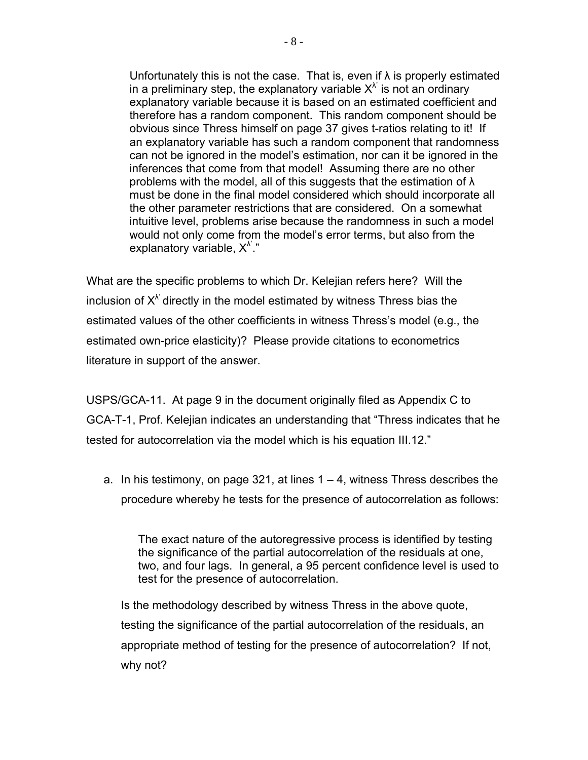Unfortunately this is not the case. That is, even if  $\lambda$  is properly estimated in a preliminary step, the explanatory variable  $X^{\lambda}$  is not an ordinary explanatory variable because it is based on an estimated coefficient and therefore has a random component. This random component should be obvious since Thress himself on page 37 gives t-ratios relating to it! If an explanatory variable has such a random component that randomness can not be ignored in the model's estimation, nor can it be ignored in the inferences that come from that model! Assuming there are no other problems with the model, all of this suggests that the estimation of  $\lambda$ must be done in the final model considered which should incorporate all the other parameter restrictions that are considered. On a somewhat intuitive level, problems arise because the randomness in such a model would not only come from the model's error terms, but also from the explanatory variable,  $X^{\lambda}$ ."

What are the specific problems to which Dr. Kelejian refers here? Will the inclusion of  $X^{\lambda'}$  directly in the model estimated by witness Thress bias the estimated values of the other coefficients in witness Thress's model (e.g., the estimated own-price elasticity)? Please provide citations to econometrics literature in support of the answer.

USPS/GCA-11. At page 9 in the document originally filed as Appendix C to GCA-T-1, Prof. Kelejian indicates an understanding that "Thress indicates that he tested for autocorrelation via the model which is his equation III.12."

a. In his testimony, on page 321, at lines  $1 - 4$ , witness Thress describes the procedure whereby he tests for the presence of autocorrelation as follows:

The exact nature of the autoregressive process is identified by testing the significance of the partial autocorrelation of the residuals at one, two, and four lags. In general, a 95 percent confidence level is used to test for the presence of autocorrelation.

 Is the methodology described by witness Thress in the above quote, testing the significance of the partial autocorrelation of the residuals, an appropriate method of testing for the presence of autocorrelation? If not, why not?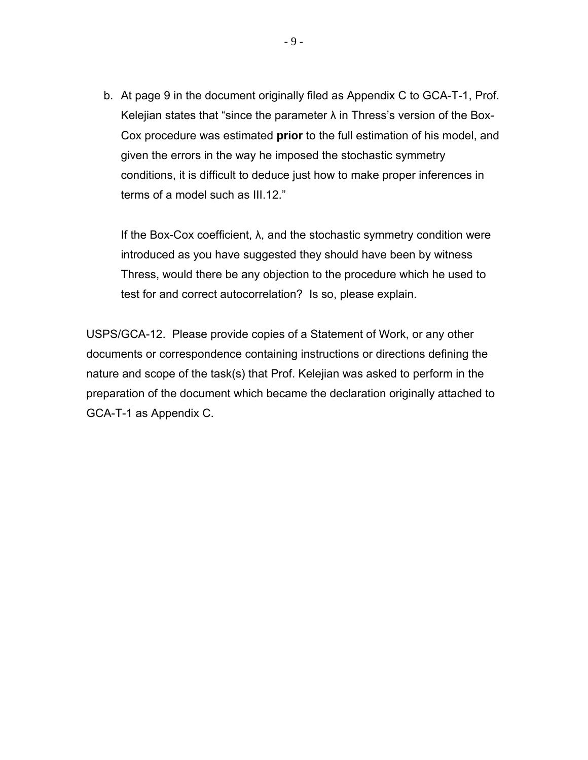b. At page 9 in the document originally filed as Appendix C to GCA-T-1, Prof. Kelejian states that "since the parameter  $\lambda$  in Thress's version of the Box-Cox procedure was estimated **prior** to the full estimation of his model, and given the errors in the way he imposed the stochastic symmetry conditions, it is difficult to deduce just how to make proper inferences in terms of a model such as III.12."

If the Box-Cox coefficient,  $\lambda$ , and the stochastic symmetry condition were introduced as you have suggested they should have been by witness Thress, would there be any objection to the procedure which he used to test for and correct autocorrelation? Is so, please explain.

USPS/GCA-12. Please provide copies of a Statement of Work, or any other documents or correspondence containing instructions or directions defining the nature and scope of the task(s) that Prof. Kelejian was asked to perform in the preparation of the document which became the declaration originally attached to GCA-T-1 as Appendix C.